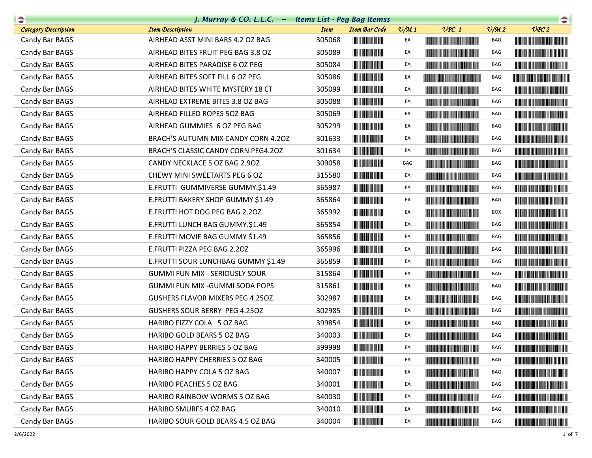| $\rightarrow$               | J. Murray & CO. L.L.C. Items List - Peg Bag Itemss |             |                                                                                                                                                                                                                                      |                 |                                                                                                                                                                                                                                      |                             | $\begin{picture}(20,10) \put(0,0){\line(1,0){10}} \put(0,0){\line(1,0){10}} \put(0,0){\line(1,0){10}} \put(0,0){\line(1,0){10}} \put(0,0){\line(1,0){10}} \put(0,0){\line(1,0){10}} \put(0,0){\line(1,0){10}} \put(0,0){\line(1,0){10}} \put(0,0){\line(1,0){10}} \put(0,0){\line(1,0){10}} \put(0,0){\line(1,0){10}} \put(0,0){\line(1,0){10}} \put(0,$ |
|-----------------------------|----------------------------------------------------|-------------|--------------------------------------------------------------------------------------------------------------------------------------------------------------------------------------------------------------------------------------|-----------------|--------------------------------------------------------------------------------------------------------------------------------------------------------------------------------------------------------------------------------------|-----------------------------|----------------------------------------------------------------------------------------------------------------------------------------------------------------------------------------------------------------------------------------------------------------------------------------------------------------------------------------------------------|
| <b>Category Description</b> | <b>Item Description</b>                            | <b>Item</b> | <b>Item Bar Code</b>                                                                                                                                                                                                                 | $\frac{v}{M}$ 1 | $UPC$ 1                                                                                                                                                                                                                              | $\mathcal{O}/\mathcal{M}$ 2 | UPC2                                                                                                                                                                                                                                                                                                                                                     |
| Candy Bar BAGS              | AIRHEAD ASST MINI BARS 4.2 OZ BAG                  | 305068      |                                                                                                                                                                                                                                      | EA              |                                                                                                                                                                                                                                      | BAG                         |                                                                                                                                                                                                                                                                                                                                                          |
| Candy Bar BAGS              | AIRHEAD BITES FRUIT PEG BAG 3.8 OZ                 | 305089      | <u> Indian American Indian Indian Indian Indian Indian Indian Indian Indian Indian Indian Indian Indian Indian In</u>                                                                                                                | EA              | <b>The Community of the Community</b>                                                                                                                                                                                                | BAG                         |                                                                                                                                                                                                                                                                                                                                                          |
| Candy Bar BAGS              | AIRHEAD BITES PARADISE 6 OZ PEG                    | 305084      |                                                                                                                                                                                                                                      | EA              |                                                                                                                                                                                                                                      | BAG                         |                                                                                                                                                                                                                                                                                                                                                          |
| Candy Bar BAGS              | AIRHEAD BITES SOFT FILL 6 OZ PEG                   | 305086      |                                                                                                                                                                                                                                      | EA              | <u> Liberaldo de la contrada de la con</u>                                                                                                                                                                                           | BAG                         | <u> Harris Harris Harris Harris Harris Harris Harris Harris Harris Harris Harris Harris Harris Harris Harris Harris Harris Harris Harris Harris Harris Harris Harris Harris Harris Harris Harris Harris Harris Harris Harris Har</u>                                                                                                                     |
| Candy Bar BAGS              | AIRHEAD BITES WHITE MYSTERY 18 CT                  | 305099      |                                                                                                                                                                                                                                      | EA              |                                                                                                                                                                                                                                      | BAG                         |                                                                                                                                                                                                                                                                                                                                                          |
| Candy Bar BAGS              | AIRHEAD EXTREME BITES 3.8 OZ BAG                   | 305088      | <u> Indian American Indian Indian Indian Indian Indian Indian Indian Indian Indian Indian Indian Indian Indian In</u>                                                                                                                | EA              |                                                                                                                                                                                                                                      | BAG                         |                                                                                                                                                                                                                                                                                                                                                          |
| Candy Bar BAGS              | AIRHEAD FILLED ROPES 50Z BAG                       | 305069      |                                                                                                                                                                                                                                      | EA              |                                                                                                                                                                                                                                      | BAG                         |                                                                                                                                                                                                                                                                                                                                                          |
| Candy Bar BAGS              | AIRHEAD GUMMIES 6 OZ PEG BAG                       | 305299      |                                                                                                                                                                                                                                      | EA              |                                                                                                                                                                                                                                      | BAG                         |                                                                                                                                                                                                                                                                                                                                                          |
| Candy Bar BAGS              | BRACH'S AUTUMN MIX CANDY CORN 4.20Z                | 301633      |                                                                                                                                                                                                                                      | EA              |                                                                                                                                                                                                                                      | BAG                         | <b>The Community of the Community</b>                                                                                                                                                                                                                                                                                                                    |
| Candy Bar BAGS              | BRACH'S CLASSIC CANDY CORN PEG4.20Z                | 301634      | <u> Indian Andrew Maria II</u>                                                                                                                                                                                                       | EA              |                                                                                                                                                                                                                                      | BAG                         |                                                                                                                                                                                                                                                                                                                                                          |
| Candy Bar BAGS              | CANDY NECKLACE 5 OZ BAG 2.90Z                      | 309058      |                                                                                                                                                                                                                                      | <b>BAG</b>      |                                                                                                                                                                                                                                      | BAG                         |                                                                                                                                                                                                                                                                                                                                                          |
| Candy Bar BAGS              | CHEWY MINI SWEETARTS PEG 6 OZ                      | 315580      |                                                                                                                                                                                                                                      | EA              | <u> Harry Harry Harry Harry Harry Harry Harry Harry Harry Harry Harry Harry Harry Harry Harry Harry Harry Harry Harry Harry Harry Harry Harry Harry Harry Harry Harry Harry Harry Harry Harry Harry Harry Harry Harry Harry Harr</u> | BAG                         |                                                                                                                                                                                                                                                                                                                                                          |
| Candy Bar BAGS              | E.FRUTTI GUMMIVERSE GUMMY.\$1.49                   | 365987      | <u> Indian Andrew Maria II</u>                                                                                                                                                                                                       | EA              |                                                                                                                                                                                                                                      | BAG                         |                                                                                                                                                                                                                                                                                                                                                          |
| Candy Bar BAGS              | E.FRUTTI BAKERY SHOP GUMMY \$1.49                  | 365864      |                                                                                                                                                                                                                                      | EA              |                                                                                                                                                                                                                                      | BAG                         | <u> Historia de la contrada de la con</u>                                                                                                                                                                                                                                                                                                                |
| Candy Bar BAGS              | E.FRUTTI HOT DOG PEG BAG 2.20Z                     | 365992      | <b>The Committee of the Committee of the Committee</b>                                                                                                                                                                               | EA              | <b>The Community of the Community</b>                                                                                                                                                                                                | <b>BOX</b>                  |                                                                                                                                                                                                                                                                                                                                                          |
| Candy Bar BAGS              | E.FRUTTI LUNCH BAG GUMMY.\$1.49                    | 365854      |                                                                                                                                                                                                                                      | EA              |                                                                                                                                                                                                                                      | BAG                         |                                                                                                                                                                                                                                                                                                                                                          |
| Candy Bar BAGS              | E.FRUTTI MOVIE BAG GUMMY \$1.49                    | 365856      |                                                                                                                                                                                                                                      | EA              | <u> Harry Harry Harry Harry Harry Harry Harry Harry Harry Harry Harry Harry Harry Harry Harry Harry Harry Harry Harry Harry Harry Harry Harry Harry Harry Harry Harry Harry Harry Harry Harry Harry Harry Harry Harry Harry Harr</u> | BAG                         |                                                                                                                                                                                                                                                                                                                                                          |
| Candy Bar BAGS              | E.FRUTTI PIZZA PEG BAG 2.20Z                       | 365996      |                                                                                                                                                                                                                                      | EA              | <u> Historia de la contrada de la contrada de la con</u>                                                                                                                                                                             | BAG                         |                                                                                                                                                                                                                                                                                                                                                          |
| Candy Bar BAGS              | E.FRUTTI SOUR LUNCHBAG GUMMY \$1.49                | 365859      |                                                                                                                                                                                                                                      | EA              |                                                                                                                                                                                                                                      | BAG                         |                                                                                                                                                                                                                                                                                                                                                          |
| Candy Bar BAGS              | <b>GUMMI FUN MIX - SERIOUSLY SOUR</b>              | 315864      |                                                                                                                                                                                                                                      | EA              |                                                                                                                                                                                                                                      | BAG                         |                                                                                                                                                                                                                                                                                                                                                          |
| Candy Bar BAGS              | GUMMI FUN MIX - GUMMI SODA POPS                    | 315861      |                                                                                                                                                                                                                                      | EA              | <u> The Community of the Community of the Community of the Community of the Community of the Community of the Co</u>                                                                                                                 | BAG                         |                                                                                                                                                                                                                                                                                                                                                          |
| Candy Bar BAGS              | <b>GUSHERS FLAVOR MIXERS PEG 4.250Z</b>            | 302987      |                                                                                                                                                                                                                                      | EA              |                                                                                                                                                                                                                                      | BAG                         |                                                                                                                                                                                                                                                                                                                                                          |
| Candy Bar BAGS              | <b>GUSHERS SOUR BERRY PEG 4.250Z</b>               | 302985      |                                                                                                                                                                                                                                      | EA              | <u> The Community of the Community of the Community of the Community of the Community of the Community of the Community of the Community of the Community of the Community of the Community of the Community of the Community of</u> | BAG                         |                                                                                                                                                                                                                                                                                                                                                          |
| Candy Bar BAGS              | HARIBO FIZZY COLA 5 OZ BAG                         | 399854      |                                                                                                                                                                                                                                      | EA              |                                                                                                                                                                                                                                      | BAG                         |                                                                                                                                                                                                                                                                                                                                                          |
| Candy Bar BAGS              | HARIBO GOLD BEARS 5 OZ BAG                         | 340003      |                                                                                                                                                                                                                                      | EA              |                                                                                                                                                                                                                                      | BAG                         |                                                                                                                                                                                                                                                                                                                                                          |
| Candy Bar BAGS              | HARIBO HAPPY BERRIES 5 OZ BAG                      | 399998      | <b>THE REAL PROPERTY</b>                                                                                                                                                                                                             | EA              |                                                                                                                                                                                                                                      | BAG                         |                                                                                                                                                                                                                                                                                                                                                          |
| Candy Bar BAGS              | HARIBO HAPPY CHERRIES 5 OZ BAG                     | 340005      | <u> Indian Maria San Ind</u>                                                                                                                                                                                                         | EA              | <b>The Community of the Community</b>                                                                                                                                                                                                | BAG                         |                                                                                                                                                                                                                                                                                                                                                          |
| Candy Bar BAGS              | HARIBO HAPPY COLA 5 OZ BAG                         | 340007      | <u> Herbert Herbert i Sta</u>                                                                                                                                                                                                        | EA              |                                                                                                                                                                                                                                      | BAG                         |                                                                                                                                                                                                                                                                                                                                                          |
| Candy Bar BAGS              | HARIBO PEACHES 5 OZ BAG                            | 340001      | <u> Indian Maria San Ind</u>                                                                                                                                                                                                         | EA              | <u> Harry Harry Harry Harry Harry Harry Harry Harry Harry Harry Harry Harry Harry Harry Harry Harry Harry Harry Harry Harry Harry Harry Harry Harry Harry Harry Harry Harry Harry Harry Harry Harry Harry Harry Harry Harry Harr</u> | BAG                         |                                                                                                                                                                                                                                                                                                                                                          |
| Candy Bar BAGS              | HARIBO RAINBOW WORMS 5 OZ BAG                      | 340030      | <u> Lithagan ann an 197</u>                                                                                                                                                                                                          | EA              | <b>CONTRACTOR</b>                                                                                                                                                                                                                    | BAG                         | <u> Harris Harris Harris Harris Harris Harris Harris Harris Harris Harris Harris Harris Harris Harris Harris Harris Harris Harris Harris Harris Harris Harris Harris Harris Harris Harris Harris Harris Harris Harris Harris Har</u>                                                                                                                     |
| Candy Bar BAGS              | HARIBO SMURFS 4 OZ BAG                             | 340010      |                                                                                                                                                                                                                                      | EA              |                                                                                                                                                                                                                                      | BAG                         |                                                                                                                                                                                                                                                                                                                                                          |
| Candy Bar BAGS              | HARIBO SOUR GOLD BEARS 4.5 OZ BAG                  | 340004      | <u> Lithagan ng Barangan ng Barangan ng Barangan ng Barangan ng Barangan ng Barangan ng Barangan ng Barangan ng Barangan ng Barangan ng Barangan ng Barangan ng Barangan ng Barangan ng Barangan ng Barangan ng Barangan ng Bara</u> | EA              |                                                                                                                                                                                                                                      | BAG                         |                                                                                                                                                                                                                                                                                                                                                          |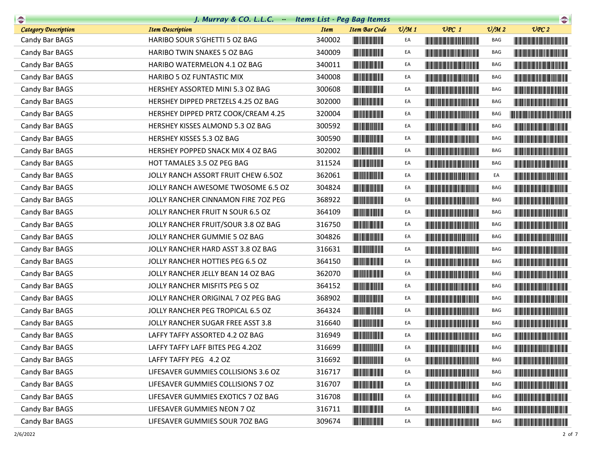| $\begin{picture}(20,10) \put(0,0){\line(1,0){10}} \put(10,0){\line(1,0){10}} \put(10,0){\line(1,0){10}} \put(10,0){\line(1,0){10}} \put(10,0){\line(1,0){10}} \put(10,0){\line(1,0){10}} \put(10,0){\line(1,0){10}} \put(10,0){\line(1,0){10}} \put(10,0){\line(1,0){10}} \put(10,0){\line(1,0){10}} \put(10,0){\line(1,0){10}} \put(10,0){\line(1$ | J. Murray & CO. L.L.C. Items List - Peg Bag Itemss |             |                                                                                                                       |                 |                                                                                                                                                                                                                                      |                             | $\begin{picture}(20,10) \put(0,0){\line(1,0){10}} \put(10,0){\line(1,0){10}} \put(10,0){\line(1,0){10}} \put(10,0){\line(1,0){10}} \put(10,0){\line(1,0){10}} \put(10,0){\line(1,0){10}} \put(10,0){\line(1,0){10}} \put(10,0){\line(1,0){10}} \put(10,0){\line(1,0){10}} \put(10,0){\line(1,0){10}} \put(10,0){\line(1,0){10}} \put(10,0){\line(1$ |
|-----------------------------------------------------------------------------------------------------------------------------------------------------------------------------------------------------------------------------------------------------------------------------------------------------------------------------------------------------|----------------------------------------------------|-------------|-----------------------------------------------------------------------------------------------------------------------|-----------------|--------------------------------------------------------------------------------------------------------------------------------------------------------------------------------------------------------------------------------------|-----------------------------|-----------------------------------------------------------------------------------------------------------------------------------------------------------------------------------------------------------------------------------------------------------------------------------------------------------------------------------------------------|
| <b>Category Description</b>                                                                                                                                                                                                                                                                                                                         | <b>Item Description</b>                            | <b>Item</b> | <b>Item Bar Code</b>                                                                                                  | $\frac{v}{M}$ 1 | $UPC$ 1                                                                                                                                                                                                                              | $\mathcal{O}/\mathcal{M}$ 2 | UPC2                                                                                                                                                                                                                                                                                                                                                |
| Candy Bar BAGS                                                                                                                                                                                                                                                                                                                                      | HARIBO SOUR S'GHETTI 5 OZ BAG                      | 340002      |                                                                                                                       | EA              |                                                                                                                                                                                                                                      | BAG                         |                                                                                                                                                                                                                                                                                                                                                     |
| Candy Bar BAGS                                                                                                                                                                                                                                                                                                                                      | HARIBO TWIN SNAKES 5 OZ BAG                        | 340009      |                                                                                                                       | EA              | <b>CONTRACTOR</b>                                                                                                                                                                                                                    | BAG                         |                                                                                                                                                                                                                                                                                                                                                     |
| Candy Bar BAGS                                                                                                                                                                                                                                                                                                                                      | HARIBO WATERMELON 4.1 OZ BAG                       | 340011      |                                                                                                                       | EA              |                                                                                                                                                                                                                                      | BAG                         |                                                                                                                                                                                                                                                                                                                                                     |
| Candy Bar BAGS                                                                                                                                                                                                                                                                                                                                      | HARIBO 5 OZ FUNTASTIC MIX                          | 340008      |                                                                                                                       | EA              |                                                                                                                                                                                                                                      | BAG                         |                                                                                                                                                                                                                                                                                                                                                     |
| Candy Bar BAGS                                                                                                                                                                                                                                                                                                                                      | HERSHEY ASSORTED MINI 5.3 OZ BAG                   | 300608      |                                                                                                                       | EA              |                                                                                                                                                                                                                                      | BAG                         |                                                                                                                                                                                                                                                                                                                                                     |
| Candy Bar BAGS                                                                                                                                                                                                                                                                                                                                      | HERSHEY DIPPED PRETZELS 4.25 OZ BAG                | 302000      | <u> Herbert Herbert in der Entschaft</u>                                                                              | EA              |                                                                                                                                                                                                                                      | BAG                         |                                                                                                                                                                                                                                                                                                                                                     |
| Candy Bar BAGS                                                                                                                                                                                                                                                                                                                                      | HERSHEY DIPPED PRTZ COOK/CREAM 4.25                | 320004      |                                                                                                                       | EA              |                                                                                                                                                                                                                                      | BAG                         | <u> The Community of the Community of the Community of the Community of the Community of the Community of the Community of the Community of the Community of the Community of the Community of the Community of the Community of</u>                                                                                                                |
| Candy Bar BAGS                                                                                                                                                                                                                                                                                                                                      | HERSHEY KISSES ALMOND 5.3 OZ BAG                   | 300592      | <u> Indian American Ind</u>                                                                                           | EA              |                                                                                                                                                                                                                                      | BAG                         | <b>The Community of the Community</b>                                                                                                                                                                                                                                                                                                               |
| Candy Bar BAGS                                                                                                                                                                                                                                                                                                                                      | HERSHEY KISSES 5.3 OZ BAG                          | 300590      |                                                                                                                       | EA              | <b>The Community of the Community</b>                                                                                                                                                                                                | BAG                         |                                                                                                                                                                                                                                                                                                                                                     |
| Candy Bar BAGS                                                                                                                                                                                                                                                                                                                                      | HERSHEY POPPED SNACK MIX 4 OZ BAG                  | 302002      | <u> Herbert Herbert in der Entschaft</u>                                                                              | EA              |                                                                                                                                                                                                                                      | BAG                         |                                                                                                                                                                                                                                                                                                                                                     |
| Candy Bar BAGS                                                                                                                                                                                                                                                                                                                                      | HOT TAMALES 3.5 OZ PEG BAG                         | 311524      |                                                                                                                       | EA              |                                                                                                                                                                                                                                      | BAG                         |                                                                                                                                                                                                                                                                                                                                                     |
| Candy Bar BAGS                                                                                                                                                                                                                                                                                                                                      | JOLLY RANCH ASSORT FRUIT CHEW 6.5OZ                | 362061      |                                                                                                                       | EA              |                                                                                                                                                                                                                                      | EA                          |                                                                                                                                                                                                                                                                                                                                                     |
| Candy Bar BAGS                                                                                                                                                                                                                                                                                                                                      | JOLLY RANCH AWESOME TWOSOME 6.5 OZ                 | 304824      | <u> Herman Barbara (</u>                                                                                              | EA              |                                                                                                                                                                                                                                      | BAG                         |                                                                                                                                                                                                                                                                                                                                                     |
| Candy Bar BAGS                                                                                                                                                                                                                                                                                                                                      | JOLLY RANCHER CINNAMON FIRE 70Z PEG                | 368922      | <u> III de la contrada de la con</u>                                                                                  | EA              |                                                                                                                                                                                                                                      | BAG                         |                                                                                                                                                                                                                                                                                                                                                     |
| Candy Bar BAGS                                                                                                                                                                                                                                                                                                                                      | JOLLY RANCHER FRUIT N SOUR 6.5 OZ                  | 364109      |                                                                                                                       | EA              |                                                                                                                                                                                                                                      | BAG                         |                                                                                                                                                                                                                                                                                                                                                     |
| Candy Bar BAGS                                                                                                                                                                                                                                                                                                                                      | JOLLY RANCHER FRUIT/SOUR 3.8 OZ BAG                | 316750      |                                                                                                                       | EA              | <u> Harry Harry Harry Harry Harry Harry Harry Harry Harry Harry Harry Harry Harry Harry Harry Harry Harry Harry Harry Harry Harry Harry Harry Harry Harry Harry Harry Harry Harry Harry Harry Harry Harry Harry Harry Harry Harr</u> | BAG                         |                                                                                                                                                                                                                                                                                                                                                     |
| Candy Bar BAGS                                                                                                                                                                                                                                                                                                                                      | JOLLY RANCHER GUMMIE 5 OZ BAG                      | 304826      | <b>The Common Service</b>                                                                                             | EA              |                                                                                                                                                                                                                                      | BAG                         |                                                                                                                                                                                                                                                                                                                                                     |
| Candy Bar BAGS                                                                                                                                                                                                                                                                                                                                      | JOLLY RANCHER HARD ASST 3.8 OZ BAG                 | 316631      | <b>The Committee of the Committee of the Committee</b>                                                                | EA              | <u> Die Berger von Die Berger von Die Berger von Die Berger von Die Berger von Die Berger von Die Berger von Die B</u>                                                                                                               | BAG                         |                                                                                                                                                                                                                                                                                                                                                     |
| Candy Bar BAGS                                                                                                                                                                                                                                                                                                                                      | JOLLY RANCHER HOTTIES PEG 6.5 OZ                   | 364150      | <u> Indian American Indian Indian Indian Indian Indian Indian Indian Indian Indian Indian Indian Indian Indian In</u> | EA              |                                                                                                                                                                                                                                      | BAG                         |                                                                                                                                                                                                                                                                                                                                                     |
| Candy Bar BAGS                                                                                                                                                                                                                                                                                                                                      | JOLLY RANCHER JELLY BEAN 14 OZ BAG                 | 362070      |                                                                                                                       | EA              |                                                                                                                                                                                                                                      | BAG                         |                                                                                                                                                                                                                                                                                                                                                     |
| Candy Bar BAGS                                                                                                                                                                                                                                                                                                                                      | JOLLY RANCHER MISFITS PEG 5 OZ                     | 364152      | <b>The Common Service Common</b>                                                                                      | EA              |                                                                                                                                                                                                                                      | BAG                         |                                                                                                                                                                                                                                                                                                                                                     |
| Candy Bar BAGS                                                                                                                                                                                                                                                                                                                                      | JOLLY RANCHER ORIGINAL 7 OZ PEG BAG                | 368902      |                                                                                                                       | EA              |                                                                                                                                                                                                                                      | BAG                         |                                                                                                                                                                                                                                                                                                                                                     |
| Candy Bar BAGS                                                                                                                                                                                                                                                                                                                                      | JOLLY RANCHER PEG TROPICAL 6.5 OZ                  | 364324      |                                                                                                                       | EA              |                                                                                                                                                                                                                                      | BAG                         |                                                                                                                                                                                                                                                                                                                                                     |
| Candy Bar BAGS                                                                                                                                                                                                                                                                                                                                      | JOLLY RANCHER SUGAR FREE ASST 3.8                  | 316640      |                                                                                                                       | EA              | <u> Timba ka matsayin ka matsayin ka matsayin ka matsayin ka matsayin ka matsayin ka matsayin ka matsayin ka matsayin ka matsayin ka matsayin ka matsayin ka matsayin ka matsayin ka matsayin ka matsayin ka matsayin ka matsayi</u> | BAG                         |                                                                                                                                                                                                                                                                                                                                                     |
| Candy Bar BAGS                                                                                                                                                                                                                                                                                                                                      | LAFFY TAFFY ASSORTED 4.2 OZ BAG                    | 316949      | <b>The Committee of the Committee</b>                                                                                 | EA              |                                                                                                                                                                                                                                      | BAG                         |                                                                                                                                                                                                                                                                                                                                                     |
| Candy Bar BAGS                                                                                                                                                                                                                                                                                                                                      | LAFFY TAFFY LAFF BITES PEG 4.20Z                   | 316699      | <b>THE REAL PROPERTY</b>                                                                                              | EA              |                                                                                                                                                                                                                                      | BAG                         |                                                                                                                                                                                                                                                                                                                                                     |
| Candy Bar BAGS                                                                                                                                                                                                                                                                                                                                      | LAFFY TAFFY PEG 4.2 OZ                             | 316692      |                                                                                                                       | EA              | <b>The Common Section</b>                                                                                                                                                                                                            | BAG                         |                                                                                                                                                                                                                                                                                                                                                     |
| Candy Bar BAGS                                                                                                                                                                                                                                                                                                                                      | LIFESAVER GUMMIES COLLISIONS 3.6 OZ                | 316717      |                                                                                                                       | EA              | <u> Timba ka masa sa kasang mga kalendari ng mga kalendari ng mga kalendari ng mga kalendari ng mga kalendari ng </u>                                                                                                                | BAG                         | <u> Harry Harry Harry Harry Harry Harry Harry Harry Harry Harry Harry Harry Harry Harry Harry Harry Harry Harry H</u>                                                                                                                                                                                                                               |
| Candy Bar BAGS                                                                                                                                                                                                                                                                                                                                      | LIFESAVER GUMMIES COLLISIONS 7 OZ                  | 316707      | <u> Indian American Ind</u>                                                                                           | EA              | <u> Liberal Maria de la contrada de la con</u>                                                                                                                                                                                       | BAG                         |                                                                                                                                                                                                                                                                                                                                                     |
| Candy Bar BAGS                                                                                                                                                                                                                                                                                                                                      | LIFESAVER GUMMIES EXOTICS 7 OZ BAG                 | 316708      |                                                                                                                       | EA              |                                                                                                                                                                                                                                      | BAG                         |                                                                                                                                                                                                                                                                                                                                                     |
| Candy Bar BAGS                                                                                                                                                                                                                                                                                                                                      | LIFESAVER GUMMIES NEON 7 OZ                        | 316711      |                                                                                                                       | EA              | <b>The Common Service Common</b>                                                                                                                                                                                                     | BAG                         |                                                                                                                                                                                                                                                                                                                                                     |
| Candy Bar BAGS                                                                                                                                                                                                                                                                                                                                      | LIFESAVER GUMMIES SOUR 70Z BAG                     | 309674      | <u> Indian Andrew Maria II</u>                                                                                        | EA              |                                                                                                                                                                                                                                      | BAG                         |                                                                                                                                                                                                                                                                                                                                                     |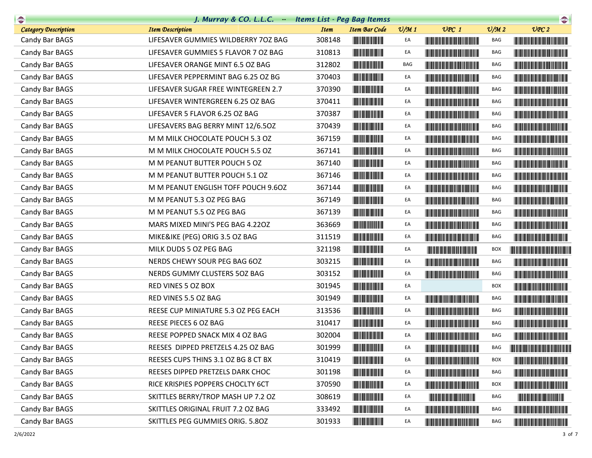| $\begin{picture}(20,10) \put(0,0){\line(1,0){10}} \put(10,0){\line(1,0){10}} \put(10,0){\line(1,0){10}} \put(10,0){\line(1,0){10}} \put(10,0){\line(1,0){10}} \put(10,0){\line(1,0){10}} \put(10,0){\line(1,0){10}} \put(10,0){\line(1,0){10}} \put(10,0){\line(1,0){10}} \put(10,0){\line(1,0){10}} \put(10,0){\line(1,0){10}} \put(10,0){\line(1$ | J. Murray & CO. L.L.C. Items List - Peg Bag Itemss |             |                                                                                                                         |                 |                                                                                                                                                                                                                                      |                             | $\begin{picture}(20,20) \put(0,0){\line(1,0){10}} \put(15,0){\line(1,0){10}} \put(15,0){\line(1,0){10}} \put(15,0){\line(1,0){10}} \put(15,0){\line(1,0){10}} \put(15,0){\line(1,0){10}} \put(15,0){\line(1,0){10}} \put(15,0){\line(1,0){10}} \put(15,0){\line(1,0){10}} \put(15,0){\line(1,0){10}} \put(15,0){\line(1,0){10}} \put(15,0){\line(1$ |
|-----------------------------------------------------------------------------------------------------------------------------------------------------------------------------------------------------------------------------------------------------------------------------------------------------------------------------------------------------|----------------------------------------------------|-------------|-------------------------------------------------------------------------------------------------------------------------|-----------------|--------------------------------------------------------------------------------------------------------------------------------------------------------------------------------------------------------------------------------------|-----------------------------|-----------------------------------------------------------------------------------------------------------------------------------------------------------------------------------------------------------------------------------------------------------------------------------------------------------------------------------------------------|
| <b>Category Description</b>                                                                                                                                                                                                                                                                                                                         | <b>Item Description</b>                            | <b>Item</b> | <b>Item Bar Code</b>                                                                                                    | $\frac{v}{M}$ 1 | $UPC$ 1                                                                                                                                                                                                                              | $\mathcal{O}/\mathcal{M}$ 2 | UPC2                                                                                                                                                                                                                                                                                                                                                |
| Candy Bar BAGS                                                                                                                                                                                                                                                                                                                                      | LIFESAVER GUMMIES WILDBERRY 70Z BAG                | 308148      |                                                                                                                         | EA              | <b>The Community of the Community</b>                                                                                                                                                                                                | BAG                         |                                                                                                                                                                                                                                                                                                                                                     |
| Candy Bar BAGS                                                                                                                                                                                                                                                                                                                                      | LIFESAVER GUMMIES 5 FLAVOR 7 OZ BAG                | 310813      | <b>The Community</b>                                                                                                    | EA              |                                                                                                                                                                                                                                      | BAG                         |                                                                                                                                                                                                                                                                                                                                                     |
| Candy Bar BAGS                                                                                                                                                                                                                                                                                                                                      | LIFESAVER ORANGE MINT 6.5 OZ BAG                   | 312802      |                                                                                                                         | BAG             |                                                                                                                                                                                                                                      | BAG                         |                                                                                                                                                                                                                                                                                                                                                     |
| Candy Bar BAGS                                                                                                                                                                                                                                                                                                                                      | LIFESAVER PEPPERMINT BAG 6.25 OZ BG                | 370403      | <b>The Community of the Community</b>                                                                                   | EA              | <u> Timba ka matsayin ka matsayin ka matsayin ka matsayin ka matsayin ka matsayin ka matsayin ka matsayin ka matsayin ka matsayin ka matsayin ka matsayin ka matsayin ka matsayin ka matsayin ka matsayin ka matsayin ka matsayi</u> | BAG                         | <u> Harry Harry Harry Harry Harry Harry Harry Harry Harry Harry Harry Harry Harry Harry Harry Harry Harry Harry Harry Harry Harry Harry Harry Harry Harry Harry Harry Harry Harry Harry Harry Harry Harry Harry Harry Harry Harr</u>                                                                                                                |
| Candy Bar BAGS                                                                                                                                                                                                                                                                                                                                      | LIFESAVER SUGAR FREE WINTEGREEN 2.7                | 370390      |                                                                                                                         | EA              | <u> Harry Harry Harry Harry Harry Harry Harry Harry Harry Harry Harry Harry Harry Harry Harry Harry Harry Harry Harry Harry Harry Harry Harry Harry Harry Harry Harry Harry Harry Harry Harry Harry Harry Harry Harry Harry Harr</u> | BAG                         |                                                                                                                                                                                                                                                                                                                                                     |
| Candy Bar BAGS                                                                                                                                                                                                                                                                                                                                      | LIFESAVER WINTERGREEN 6.25 OZ BAG                  | 370411      |                                                                                                                         | EA              | <u> Harry Harry Harry Harry Harry Harry Harry Harry Harry Harry Harry Harry Harry Harry Harry Harry Harry Harry H</u>                                                                                                                | BAG                         |                                                                                                                                                                                                                                                                                                                                                     |
| Candy Bar BAGS                                                                                                                                                                                                                                                                                                                                      | LIFESAVER 5 FLAVOR 6.25 OZ BAG                     | 370387      |                                                                                                                         | EA              |                                                                                                                                                                                                                                      | BAG                         |                                                                                                                                                                                                                                                                                                                                                     |
| Candy Bar BAGS                                                                                                                                                                                                                                                                                                                                      | LIFESAVERS BAG BERRY MINT 12/6.50Z                 | 370439      |                                                                                                                         | EA              |                                                                                                                                                                                                                                      | BAG                         |                                                                                                                                                                                                                                                                                                                                                     |
| Candy Bar BAGS                                                                                                                                                                                                                                                                                                                                      | M M MILK CHOCOLATE POUCH 5.3 OZ                    | 367159      |                                                                                                                         | EA              | <u> Harry Harry Harry Harry Harry Harry Harry Harry Harry Harry Harry Harry Harry Harry Harry Harry Harry Harry Harry Harry Harry Harry Harry Harry Harry Harry Harry Harry Harry Harry Harry Harry Harry Harry Harry Harry Harr</u> | BAG                         | <b>The Community of the Community</b>                                                                                                                                                                                                                                                                                                               |
| Candy Bar BAGS                                                                                                                                                                                                                                                                                                                                      | M M MILK CHOCOLATE POUCH 5.5 OZ                    | 367141      |                                                                                                                         | EA              | <b>The Committee of the Committee of the Committee</b>                                                                                                                                                                               | BAG                         |                                                                                                                                                                                                                                                                                                                                                     |
| Candy Bar BAGS                                                                                                                                                                                                                                                                                                                                      | M M PEANUT BUTTER POUCH 5 OZ                       | 367140      |                                                                                                                         | EA              |                                                                                                                                                                                                                                      | <b>BAG</b>                  |                                                                                                                                                                                                                                                                                                                                                     |
| Candy Bar BAGS                                                                                                                                                                                                                                                                                                                                      | M M PEANUT BUTTER POUCH 5.1 OZ                     | 367146      |                                                                                                                         | EA              |                                                                                                                                                                                                                                      | BAG                         |                                                                                                                                                                                                                                                                                                                                                     |
| Candy Bar BAGS                                                                                                                                                                                                                                                                                                                                      | M M PEANUT ENGLISH TOFF POUCH 9.6OZ                | 367144      |                                                                                                                         | EA              |                                                                                                                                                                                                                                      | BAG                         |                                                                                                                                                                                                                                                                                                                                                     |
| Candy Bar BAGS                                                                                                                                                                                                                                                                                                                                      | M M PEANUT 5.3 OZ PEG BAG                          | 367149      |                                                                                                                         | EA              | <b>CONTRACTOR</b>                                                                                                                                                                                                                    | BAG                         |                                                                                                                                                                                                                                                                                                                                                     |
| Candy Bar BAGS                                                                                                                                                                                                                                                                                                                                      | M M PEANUT 5.5 OZ PEG BAG                          | 367139      |                                                                                                                         | EA              |                                                                                                                                                                                                                                      | BAG                         |                                                                                                                                                                                                                                                                                                                                                     |
| Candy Bar BAGS                                                                                                                                                                                                                                                                                                                                      | MARS MIXED MINI'S PEG BAG 4.220Z                   | 363669      |                                                                                                                         | EA              |                                                                                                                                                                                                                                      | BAG                         |                                                                                                                                                                                                                                                                                                                                                     |
| Candy Bar BAGS                                                                                                                                                                                                                                                                                                                                      | MIKE&IKE (PEG) ORIG 3.5 OZ BAG                     | 311519      | <b>The Common Service Common</b>                                                                                        | EA              | <b>CONTRACTOR</b>                                                                                                                                                                                                                    | BAG                         |                                                                                                                                                                                                                                                                                                                                                     |
| Candy Bar BAGS                                                                                                                                                                                                                                                                                                                                      | MILK DUDS 5 OZ PEG BAG                             | 321198      | <u> Liberal Maria San Ba</u>                                                                                            | EA              |                                                                                                                                                                                                                                      | <b>BOX</b>                  | <b>The Community of the Community</b>                                                                                                                                                                                                                                                                                                               |
| Candy Bar BAGS                                                                                                                                                                                                                                                                                                                                      | NERDS CHEWY SOUR PEG BAG 6OZ                       | 303215      |                                                                                                                         | EA              | <b>The Common Section</b>                                                                                                                                                                                                            | BAG                         |                                                                                                                                                                                                                                                                                                                                                     |
| Candy Bar BAGS                                                                                                                                                                                                                                                                                                                                      | NERDS GUMMY CLUSTERS 50Z BAG                       | 303152      |                                                                                                                         | EA              | <u> The Communication of the Communication of</u>                                                                                                                                                                                    | BAG                         |                                                                                                                                                                                                                                                                                                                                                     |
| Candy Bar BAGS                                                                                                                                                                                                                                                                                                                                      | RED VINES 5 OZ BOX                                 | 301945      | <u> Hill Miller van de Bronne van de Bronne van de Bronne van de Bronne van de Bronne van de Bronne van de Bronne v</u> | EA              |                                                                                                                                                                                                                                      | <b>BOX</b>                  |                                                                                                                                                                                                                                                                                                                                                     |
| Candy Bar BAGS                                                                                                                                                                                                                                                                                                                                      | RED VINES 5.5 OZ BAG                               | 301949      |                                                                                                                         | EA              | <u> The Community of the Community of the Community of the Community of the Community of the Community of the Community of the Community of the Community of the Community of the Community of the Community of the Community of</u> | BAG                         | <u> The Community of the Community of the Community of the Community of the Community of the Community of the Co</u>                                                                                                                                                                                                                                |
| Candy Bar BAGS                                                                                                                                                                                                                                                                                                                                      | REESE CUP MINIATURE 5.3 OZ PEG EACH                | 313536      |                                                                                                                         | EA              | <b>The Committee of the Committee of the Committee</b>                                                                                                                                                                               | BAG                         |                                                                                                                                                                                                                                                                                                                                                     |
| Candy Bar BAGS                                                                                                                                                                                                                                                                                                                                      | REESE PIECES 6 OZ BAG                              | 310417      |                                                                                                                         | EA              |                                                                                                                                                                                                                                      | BAG                         |                                                                                                                                                                                                                                                                                                                                                     |
| Candy Bar BAGS                                                                                                                                                                                                                                                                                                                                      | REESE POPPED SNACK MIX 4 OZ BAG                    | 302004      |                                                                                                                         | EA              | <b>The Community of the Community</b>                                                                                                                                                                                                | BAG                         |                                                                                                                                                                                                                                                                                                                                                     |
| Candy Bar BAGS                                                                                                                                                                                                                                                                                                                                      | REESES DIPPED PRETZELS 4.25 OZ BAG                 | 301999      | <b>THE REAL PROPERTY</b>                                                                                                | EA              |                                                                                                                                                                                                                                      | BAG                         |                                                                                                                                                                                                                                                                                                                                                     |
| Candy Bar BAGS                                                                                                                                                                                                                                                                                                                                      | REESES CUPS THINS 3.1 OZ BG 8 CT BX                | 310419      |                                                                                                                         | EA              | <u> The Community of the Community of the Community of the Community of the Community of the Community of the Community of the Community of the Community of the Community of the Community of the Community of the Community of</u> | BOX                         | <b>The Committee of the Committee of the Committee of the Committee of the Committee</b>                                                                                                                                                                                                                                                            |
| Candy Bar BAGS                                                                                                                                                                                                                                                                                                                                      | REESES DIPPED PRETZELS DARK CHOC                   | 301198      |                                                                                                                         | EA              |                                                                                                                                                                                                                                      | BAG                         |                                                                                                                                                                                                                                                                                                                                                     |
| Candy Bar BAGS                                                                                                                                                                                                                                                                                                                                      | RICE KRISPIES POPPERS CHOCLTY 6CT                  | 370590      | <b>The Community of Science</b>                                                                                         | EA              | <u> Harry Harry Harry Harry Harry Harry Harry Harry Harry Harry Harry Harry Harry Harry Harry Harry Harry Harry H</u>                                                                                                                | <b>BOX</b>                  | <u> Liberal Maria de la contrada de la con</u>                                                                                                                                                                                                                                                                                                      |
| Candy Bar BAGS                                                                                                                                                                                                                                                                                                                                      | SKITTLES BERRY/TROP MASH UP 7.2 OZ                 | 308619      |                                                                                                                         | EA              | <b>The Committee of the Committee of the Committee</b>                                                                                                                                                                               | BAG                         |                                                                                                                                                                                                                                                                                                                                                     |
| Candy Bar BAGS                                                                                                                                                                                                                                                                                                                                      | SKITTLES ORIGINAL FRUIT 7.2 OZ BAG                 | 333492      |                                                                                                                         | EA              | <b>The Committee of the Committee of the Committee</b>                                                                                                                                                                               | BAG                         | <u> Harry Harry Harry Harry Harry Harry Harry Harry Harry Harry Harry Harry Harry Harry Harry Harry Harry Harry H</u>                                                                                                                                                                                                                               |
| Candy Bar BAGS                                                                                                                                                                                                                                                                                                                                      | SKITTLES PEG GUMMIES ORIG. 5.80Z                   | 301933      | <u> Herbert Herbert in der Entschaft</u>                                                                                | EA              |                                                                                                                                                                                                                                      | BAG                         |                                                                                                                                                                                                                                                                                                                                                     |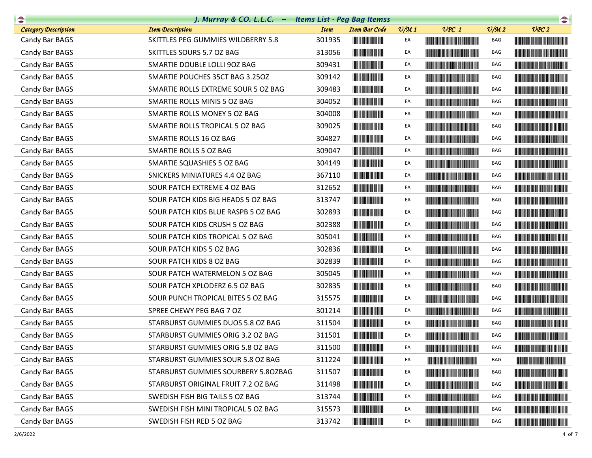| $\begin{picture}(20,10) \put(0,0){\line(1,0){10}} \put(10,0){\line(1,0){10}} \put(10,0){\line(1,0){10}} \put(10,0){\line(1,0){10}} \put(10,0){\line(1,0){10}} \put(10,0){\line(1,0){10}} \put(10,0){\line(1,0){10}} \put(10,0){\line(1,0){10}} \put(10,0){\line(1,0){10}} \put(10,0){\line(1,0){10}} \put(10,0){\line(1,0){10}} \put(10,0){\line(1$ | J. Murray & CO. L.L.C. Items List - Peg Bag Itemss |             |                                                                                                                       |               |                                                                                                                                                                                                                                      |                 |                                                                                                                                                                                                                                      |
|-----------------------------------------------------------------------------------------------------------------------------------------------------------------------------------------------------------------------------------------------------------------------------------------------------------------------------------------------------|----------------------------------------------------|-------------|-----------------------------------------------------------------------------------------------------------------------|---------------|--------------------------------------------------------------------------------------------------------------------------------------------------------------------------------------------------------------------------------------|-----------------|--------------------------------------------------------------------------------------------------------------------------------------------------------------------------------------------------------------------------------------|
| <b>Category Description</b>                                                                                                                                                                                                                                                                                                                         | <b>Item Description</b>                            | <b>Item</b> | <b>Item Bar Code</b>                                                                                                  | $\frac{1}{2}$ | $UPC$ 1                                                                                                                                                                                                                              | $\frac{v}{M}$ 2 | UPC2                                                                                                                                                                                                                                 |
| Candy Bar BAGS                                                                                                                                                                                                                                                                                                                                      | SKITTLES PEG GUMMIES WILDBERRY 5.8                 | 301935      |                                                                                                                       | EA            | <b>The Common Section 1989</b>                                                                                                                                                                                                       | BAG             | <b>The Community of the Community</b>                                                                                                                                                                                                |
| Candy Bar BAGS                                                                                                                                                                                                                                                                                                                                      | SKITTLES SOURS 5.7 OZ BAG                          | 313056      |                                                                                                                       | EA            | <u> Liberal Maria Maria Maria Maria Maria Maria Maria Maria Maria Maria Maria Maria Maria Maria Maria Maria Maria </u>                                                                                                               | BAG             |                                                                                                                                                                                                                                      |
| Candy Bar BAGS                                                                                                                                                                                                                                                                                                                                      | SMARTIE DOUBLE LOLLI 90Z BAG                       | 309431      |                                                                                                                       | EA            |                                                                                                                                                                                                                                      | BAG             |                                                                                                                                                                                                                                      |
| Candy Bar BAGS                                                                                                                                                                                                                                                                                                                                      | SMARTIE POUCHES 35CT BAG 3.25OZ                    | 309142      |                                                                                                                       | EA            | <u> Harry Harry Harry Harry Harry Harry Harry Harry Harry Harry Harry Harry Harry Harry Harry Harry Harry Harry Harry Harry Harry Harry Harry Harry Harry Harry Harry Harry Harry Harry Harry Harry Harry Harry Harry Harry Harr</u> | BAG             |                                                                                                                                                                                                                                      |
| Candy Bar BAGS                                                                                                                                                                                                                                                                                                                                      | SMARTIE ROLLS EXTREME SOUR 5 OZ BAG                | 309483      |                                                                                                                       | EA            | <b>The Common Section</b>                                                                                                                                                                                                            | BAG             |                                                                                                                                                                                                                                      |
| Candy Bar BAGS                                                                                                                                                                                                                                                                                                                                      | SMARTIE ROLLS MINIS 5 OZ BAG                       | 304052      | <u> Indian American Indian Indian Indian Indian Indian Indian Indian Indian Indian Indian Indian Indian Indian In</u> | EA            |                                                                                                                                                                                                                                      | BAG             |                                                                                                                                                                                                                                      |
| Candy Bar BAGS                                                                                                                                                                                                                                                                                                                                      | SMARTIE ROLLS MONEY 5 OZ BAG                       | 304008      |                                                                                                                       | EA            |                                                                                                                                                                                                                                      | BAG             |                                                                                                                                                                                                                                      |
| Candy Bar BAGS                                                                                                                                                                                                                                                                                                                                      | SMARTIE ROLLS TROPICAL 5 OZ BAG                    | 309025      |                                                                                                                       | EA            |                                                                                                                                                                                                                                      | BAG             |                                                                                                                                                                                                                                      |
| Candy Bar BAGS                                                                                                                                                                                                                                                                                                                                      | SMARTIE ROLLS 16 OZ BAG                            | 304827      |                                                                                                                       | EA            |                                                                                                                                                                                                                                      | BAG             |                                                                                                                                                                                                                                      |
| Candy Bar BAGS                                                                                                                                                                                                                                                                                                                                      | SMARTIE ROLLS 5 OZ BAG                             | 309047      | <b>The Common Service</b>                                                                                             | EA            |                                                                                                                                                                                                                                      | BAG             |                                                                                                                                                                                                                                      |
| Candy Bar BAGS                                                                                                                                                                                                                                                                                                                                      | SMARTIE SQUASHIES 5 OZ BAG                         | 304149      |                                                                                                                       | EA            |                                                                                                                                                                                                                                      | BAG             |                                                                                                                                                                                                                                      |
| Candy Bar BAGS                                                                                                                                                                                                                                                                                                                                      | SNICKERS MINIATURES 4.4 OZ BAG                     | 367110      | <b>The Common Service</b>                                                                                             | EA            | <b>The Community of the Community</b>                                                                                                                                                                                                | BAG             |                                                                                                                                                                                                                                      |
| Candy Bar BAGS                                                                                                                                                                                                                                                                                                                                      | SOUR PATCH EXTREME 4 OZ BAG                        | 312652      | <b>The Committee of the Committee of the Committee</b>                                                                | EA            |                                                                                                                                                                                                                                      | BAG             |                                                                                                                                                                                                                                      |
| Candy Bar BAGS                                                                                                                                                                                                                                                                                                                                      | SOUR PATCH KIDS BIG HEADS 5 OZ BAG                 | 313747      | <u> III de amb a bhliain 19</u>                                                                                       | EA            | <u> The Communication of the Communication of the Communication of the Communication of the Communication of the Co</u>                                                                                                              | BAG             | <u> Harry Harry Harry Harry Harry Harry Harry Harry Harry Harry Harry Harry Harry Harry Harry Harry Harry Harry Harry Harry Harry Harry Harry Harry Harry Harry Harry Harry Harry Harry Harry Harry Harry Harry Harry Harry Harr</u> |
| Candy Bar BAGS                                                                                                                                                                                                                                                                                                                                      | SOUR PATCH KIDS BLUE RASPB 5 OZ BAG                | 302893      |                                                                                                                       | EA            |                                                                                                                                                                                                                                      | BAG             |                                                                                                                                                                                                                                      |
| Candy Bar BAGS                                                                                                                                                                                                                                                                                                                                      | SOUR PATCH KIDS CRUSH 5 OZ BAG                     | 302388      |                                                                                                                       | EA            |                                                                                                                                                                                                                                      | BAG             |                                                                                                                                                                                                                                      |
| Candy Bar BAGS                                                                                                                                                                                                                                                                                                                                      | SOUR PATCH KIDS TROPICAL 5 OZ BAG                  | 305041      |                                                                                                                       | EA            |                                                                                                                                                                                                                                      | BAG             |                                                                                                                                                                                                                                      |
| Candy Bar BAGS                                                                                                                                                                                                                                                                                                                                      | SOUR PATCH KIDS 5 OZ BAG                           | 302836      |                                                                                                                       | EA            |                                                                                                                                                                                                                                      | BAG             |                                                                                                                                                                                                                                      |
| Candy Bar BAGS                                                                                                                                                                                                                                                                                                                                      | SOUR PATCH KIDS 8 OZ BAG                           | 302839      |                                                                                                                       | EA            |                                                                                                                                                                                                                                      | BAG             |                                                                                                                                                                                                                                      |
| Candy Bar BAGS                                                                                                                                                                                                                                                                                                                                      | SOUR PATCH WATERMELON 5 OZ BAG                     | 305045      |                                                                                                                       | EA            |                                                                                                                                                                                                                                      | BAG             |                                                                                                                                                                                                                                      |
| Candy Bar BAGS                                                                                                                                                                                                                                                                                                                                      | SOUR PATCH XPLODERZ 6.5 OZ BAG                     | 302835      | <u> Indian American Indian Indian Indian Indian Indian Indian Indian Indian Indian Indian Indian Indian Indian In</u> | EA            |                                                                                                                                                                                                                                      | BAG             |                                                                                                                                                                                                                                      |
| Candy Bar BAGS                                                                                                                                                                                                                                                                                                                                      | SOUR PUNCH TROPICAL BITES 5 OZ BAG                 | 315575      |                                                                                                                       | EA            |                                                                                                                                                                                                                                      | BAG             |                                                                                                                                                                                                                                      |
| Candy Bar BAGS                                                                                                                                                                                                                                                                                                                                      | SPREE CHEWY PEG BAG 7 OZ                           | 301214      |                                                                                                                       | EA            |                                                                                                                                                                                                                                      | BAG             |                                                                                                                                                                                                                                      |
| Candy Bar BAGS                                                                                                                                                                                                                                                                                                                                      | STARBURST GUMMIES DUOS 5.8 OZ BAG                  | 311504      |                                                                                                                       | EA            |                                                                                                                                                                                                                                      | BAG             |                                                                                                                                                                                                                                      |
| Candy Bar BAGS                                                                                                                                                                                                                                                                                                                                      | STARBURST GUMMIES ORIG 3.2 OZ BAG                  | 311501      |                                                                                                                       | EA            |                                                                                                                                                                                                                                      | BAG             |                                                                                                                                                                                                                                      |
| Candy Bar BAGS                                                                                                                                                                                                                                                                                                                                      | STARBURST GUMMIES ORIG 5.8 OZ BAG                  | 311500      | <b>THE REAL PROPERTY</b>                                                                                              | EA            |                                                                                                                                                                                                                                      | BAG             |                                                                                                                                                                                                                                      |
| Candy Bar BAGS                                                                                                                                                                                                                                                                                                                                      | STARBURST GUMMIES SOUR 5.8 OZ BAG                  | 311224      |                                                                                                                       | EA            | <u> Liberal Maria Maria Maria Maria Maria Maria Maria Maria Maria Maria Maria Maria Maria Maria Maria Maria Maria </u>                                                                                                               | BAG             | <u> Harry Harry Harry Harry Harry Harry Harry Harry Harry Harry Harry Harry Harry Harry Harry Harry Harry Harry Harry Harry Harry Harry Harry Harry Harry Harry Harry Harry Harry Harry Harry Harry Harry Harry Harry Harry Harr</u> |
| Candy Bar BAGS                                                                                                                                                                                                                                                                                                                                      | STARBURST GUMMIES SOURBERY 5.80ZBAG                | 311507      |                                                                                                                       | EA            |                                                                                                                                                                                                                                      | BAG             |                                                                                                                                                                                                                                      |
| Candy Bar BAGS                                                                                                                                                                                                                                                                                                                                      | STARBURST ORIGINAL FRUIT 7.2 OZ BAG                | 311498      |                                                                                                                       | EA            | <b>The Community of the Community</b>                                                                                                                                                                                                | BAG             |                                                                                                                                                                                                                                      |
| Candy Bar BAGS                                                                                                                                                                                                                                                                                                                                      | SWEDISH FISH BIG TAILS 5 OZ BAG                    | 313744      |                                                                                                                       | EA            | <u> Timba ka matsayin ka matsayin ka matsayin ka matsayin ka matsayin ka matsayin ka matsayin ka matsayin ka matsayin ka matsayin ka matsayin ka matsayin ka matsayin ka matsayin ka matsayin ka matsayin ka matsayin ka matsayi</u> | BAG             |                                                                                                                                                                                                                                      |
| Candy Bar BAGS                                                                                                                                                                                                                                                                                                                                      | SWEDISH FISH MINI TROPICAL 5 OZ BAG                | 315573      |                                                                                                                       | EA            |                                                                                                                                                                                                                                      | BAG             |                                                                                                                                                                                                                                      |
| Candy Bar BAGS                                                                                                                                                                                                                                                                                                                                      | SWEDISH FISH RED 5 OZ BAG                          | 313742      |                                                                                                                       | EA            | <u> Liberal Maria Maria San Barat III a Shekara ta 1989 kuni a shekara ta 1989 kuni a shekara ta 1989 kuni a shekara ta 1989 kuni a shekara ta 1989 kuni a shekara ta 1989 kuni a shekara ta 1989 kuni a shekara ta 1989 kuni a </u> | BAG             |                                                                                                                                                                                                                                      |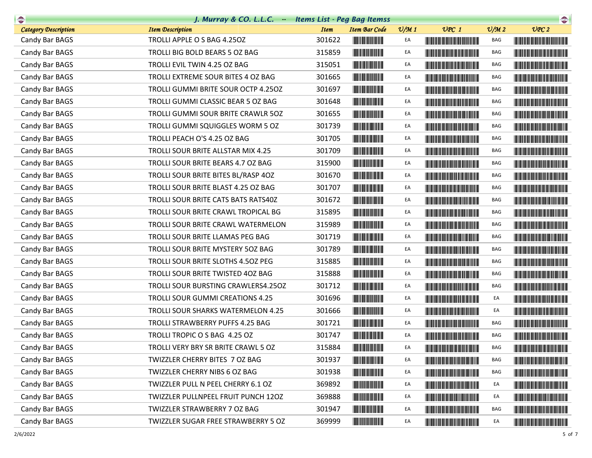| $\begin{picture}(20,10) \put(0,0){\line(1,0){10}} \put(10,0){\line(1,0){10}} \put(10,0){\line(1,0){10}} \put(10,0){\line(1,0){10}} \put(10,0){\line(1,0){10}} \put(10,0){\line(1,0){10}} \put(10,0){\line(1,0){10}} \put(10,0){\line(1,0){10}} \put(10,0){\line(1,0){10}} \put(10,0){\line(1,0){10}} \put(10,0){\line(1,0){10}} \put(10,0){\line(1$ | J. Murray & CO. L.L.C. Items List - Peg Bag Itemss |             |                                                                                                                        |                 |                                                                                                                        |                             | $\begin{picture}(20,10) \put(0,0){\line(1,0){10}} \put(0,0){\line(1,0){10}} \put(0,0){\line(1,0){10}} \put(0,0){\line(1,0){10}} \put(0,0){\line(1,0){10}} \put(0,0){\line(1,0){10}} \put(0,0){\line(1,0){10}} \put(0,0){\line(1,0){10}} \put(0,0){\line(1,0){10}} \put(0,0){\line(1,0){10}} \put(0,0){\line(1,0){10}} \put(0,0){\line(1,0){10}} \put(0,$ |
|-----------------------------------------------------------------------------------------------------------------------------------------------------------------------------------------------------------------------------------------------------------------------------------------------------------------------------------------------------|----------------------------------------------------|-------------|------------------------------------------------------------------------------------------------------------------------|-----------------|------------------------------------------------------------------------------------------------------------------------|-----------------------------|----------------------------------------------------------------------------------------------------------------------------------------------------------------------------------------------------------------------------------------------------------------------------------------------------------------------------------------------------------|
| <b>Category Description</b>                                                                                                                                                                                                                                                                                                                         | <b>Item Description</b>                            | <b>Item</b> | <b>Item Bar Code</b>                                                                                                   | $\frac{v}{M}$ 1 | $UPC$ 1                                                                                                                | $\mathcal{O}/\mathcal{M}$ 2 | UPC2                                                                                                                                                                                                                                                                                                                                                     |
| Candy Bar BAGS                                                                                                                                                                                                                                                                                                                                      | TROLLI APPLE O S BAG 4.250Z                        | 301622      |                                                                                                                        | EA              |                                                                                                                        | BAG                         |                                                                                                                                                                                                                                                                                                                                                          |
| Candy Bar BAGS                                                                                                                                                                                                                                                                                                                                      | TROLLI BIG BOLD BEARS 5 OZ BAG                     | 315859      |                                                                                                                        | EA              |                                                                                                                        | BAG                         |                                                                                                                                                                                                                                                                                                                                                          |
| Candy Bar BAGS                                                                                                                                                                                                                                                                                                                                      | TROLLI EVIL TWIN 4.25 OZ BAG                       | 315051      |                                                                                                                        | EA              |                                                                                                                        | BAG                         |                                                                                                                                                                                                                                                                                                                                                          |
| Candy Bar BAGS                                                                                                                                                                                                                                                                                                                                      | TROLLI EXTREME SOUR BITES 4 OZ BAG                 | 301665      |                                                                                                                        | EA              | <u> Liberal Maria Maria Maria Maria Maria Maria Maria Maria Maria Maria Maria Maria Maria Maria Maria Maria Maria </u> | BAG                         |                                                                                                                                                                                                                                                                                                                                                          |
| Candy Bar BAGS                                                                                                                                                                                                                                                                                                                                      | TROLLI GUMMI BRITE SOUR OCTP 4.250Z                | 301697      |                                                                                                                        | EA              |                                                                                                                        | BAG                         |                                                                                                                                                                                                                                                                                                                                                          |
| Candy Bar BAGS                                                                                                                                                                                                                                                                                                                                      | TROLLI GUMMI CLASSIC BEAR 5 OZ BAG                 | 301648      | <u> Indian Andrew Maria I</u>                                                                                          | EA              |                                                                                                                        | BAG                         |                                                                                                                                                                                                                                                                                                                                                          |
| Candy Bar BAGS                                                                                                                                                                                                                                                                                                                                      | TROLLI GUMMI SOUR BRITE CRAWLR 50Z                 | 301655      |                                                                                                                        | EA              |                                                                                                                        | BAG                         |                                                                                                                                                                                                                                                                                                                                                          |
| Candy Bar BAGS                                                                                                                                                                                                                                                                                                                                      | TROLLI GUMMI SQUIGGLES WORM 5 OZ                   | 301739      | <u> Indian Andrew Maria II</u>                                                                                         | EA              |                                                                                                                        | BAG                         |                                                                                                                                                                                                                                                                                                                                                          |
| Candy Bar BAGS                                                                                                                                                                                                                                                                                                                                      | TROLLI PEACH O'S 4.25 OZ BAG                       | 301705      |                                                                                                                        | EA              |                                                                                                                        | BAG                         | <u> Harris Harris Harris Harris Harris Harris Harris Harris Harris Harris Harris Harris Harris Harris Harris Harris Harris Harris Harris Harris Harris Harris Harris Harris Harris Harris Harris Harris Harris Harris Harris Har</u>                                                                                                                     |
| Candy Bar BAGS                                                                                                                                                                                                                                                                                                                                      | TROLLI SOUR BRITE ALLSTAR MIX 4.25                 | 301709      | <b>The Community</b>                                                                                                   | EA              |                                                                                                                        | BAG                         |                                                                                                                                                                                                                                                                                                                                                          |
| Candy Bar BAGS                                                                                                                                                                                                                                                                                                                                      | TROLLI SOUR BRITE BEARS 4.7 OZ BAG                 | 315900      |                                                                                                                        | EA              | <b>CONTRACTOR</b>                                                                                                      | BAG                         |                                                                                                                                                                                                                                                                                                                                                          |
| Candy Bar BAGS                                                                                                                                                                                                                                                                                                                                      | TROLLI SOUR BRITE BITES BL/RASP 4OZ                | 301670      | <u> Indian Andrew Maria II</u>                                                                                         | EA              |                                                                                                                        | BAG                         |                                                                                                                                                                                                                                                                                                                                                          |
| Candy Bar BAGS                                                                                                                                                                                                                                                                                                                                      | TROLLI SOUR BRITE BLAST 4.25 OZ BAG                | 301707      | <u> Herbert Herbert in der Entschaft</u>                                                                               | EA              |                                                                                                                        | BAG                         |                                                                                                                                                                                                                                                                                                                                                          |
| Candy Bar BAGS                                                                                                                                                                                                                                                                                                                                      | TROLLI SOUR BRITE CATS BATS RATS40Z                | 301672      |                                                                                                                        | EA              |                                                                                                                        | BAG                         |                                                                                                                                                                                                                                                                                                                                                          |
| Candy Bar BAGS                                                                                                                                                                                                                                                                                                                                      | TROLLI SOUR BRITE CRAWL TROPICAL BG                | 315895      |                                                                                                                        | EA              |                                                                                                                        | BAG                         |                                                                                                                                                                                                                                                                                                                                                          |
| Candy Bar BAGS                                                                                                                                                                                                                                                                                                                                      | TROLLI SOUR BRITE CRAWL WATERMELON                 | 315989      |                                                                                                                        | EA              |                                                                                                                        | BAG                         |                                                                                                                                                                                                                                                                                                                                                          |
| Candy Bar BAGS                                                                                                                                                                                                                                                                                                                                      | TROLLI SOUR BRITE LLAMAS PEG BAG                   | 301719      | <u> Herbert Herbert in der Erste der Erste der Erste der Erste der Erste der Erste der Erste der Erste der Erste </u>  | EA              |                                                                                                                        | BAG                         |                                                                                                                                                                                                                                                                                                                                                          |
| Candy Bar BAGS                                                                                                                                                                                                                                                                                                                                      | TROLLI SOUR BRITE MYSTERY 50Z BAG                  | 301789      |                                                                                                                        | EA              |                                                                                                                        | BAG                         |                                                                                                                                                                                                                                                                                                                                                          |
| Candy Bar BAGS                                                                                                                                                                                                                                                                                                                                      | TROLLI SOUR BRITE SLOTHS 4.50Z PEG                 | 315885      |                                                                                                                        | EA              |                                                                                                                        | BAG                         |                                                                                                                                                                                                                                                                                                                                                          |
| Candy Bar BAGS                                                                                                                                                                                                                                                                                                                                      | TROLLI SOUR BRITE TWISTED 40Z BAG                  | 315888      |                                                                                                                        | EA              |                                                                                                                        | BAG                         |                                                                                                                                                                                                                                                                                                                                                          |
| Candy Bar BAGS                                                                                                                                                                                                                                                                                                                                      | TROLLI SOUR BURSTING CRAWLERS4.25OZ                | 301712      | <u> Herbert Herbert in der Entschaft</u>                                                                               | EA              |                                                                                                                        | BAG                         |                                                                                                                                                                                                                                                                                                                                                          |
| Candy Bar BAGS                                                                                                                                                                                                                                                                                                                                      | TROLLI SOUR GUMMI CREATIONS 4.25                   | 301696      |                                                                                                                        | EA              |                                                                                                                        | EA                          |                                                                                                                                                                                                                                                                                                                                                          |
| Candy Bar BAGS                                                                                                                                                                                                                                                                                                                                      | TROLLI SOUR SHARKS WATERMELON 4.25                 | 301666      | <b>The Committee of the Committee</b>                                                                                  | EA              |                                                                                                                        | EA                          |                                                                                                                                                                                                                                                                                                                                                          |
| Candy Bar BAGS                                                                                                                                                                                                                                                                                                                                      | TROLLI STRAWBERRY PUFFS 4.25 BAG                   | 301721      |                                                                                                                        | EA              |                                                                                                                        | BAG                         |                                                                                                                                                                                                                                                                                                                                                          |
| Candy Bar BAGS                                                                                                                                                                                                                                                                                                                                      | TROLLI TROPIC O S BAG 4.25 OZ                      | 301747      | <u> Herbert Herbert in der Erste </u>                                                                                  | EA              | <u> Harry Harry Harry Harry Harry Harry Harry Harry Harry Harry Harry Harry Harry Harry Harry Harry Harry Harry H</u>  | BAG                         |                                                                                                                                                                                                                                                                                                                                                          |
| Candy Bar BAGS                                                                                                                                                                                                                                                                                                                                      | TROLLI VERY BRY SR BRITE CRAWL 5 OZ                | 315884      | <u> Hill Miller van de Bronne van de Bronne van de Bronne van de Bronne van de Bronne van de Bronne van de Bronne </u> | EA              |                                                                                                                        | BAG                         |                                                                                                                                                                                                                                                                                                                                                          |
| Candy Bar BAGS                                                                                                                                                                                                                                                                                                                                      | TWIZZLER CHERRY BITES 7 OZ BAG                     | 301937      |                                                                                                                        | EA              |                                                                                                                        | BAG                         | <u> Harry Harry Harry Harry Harry Harry Harry Harry Harry Harry Harry Harry Harry Harry Harry Harry Harry Harry Harry Harry Harry Harry Harry Harry Harry Harry Harry Harry Harry Harry Harry Harry Harry Harry Harry Harry Harr</u>                                                                                                                     |
| Candy Bar BAGS                                                                                                                                                                                                                                                                                                                                      | TWIZZLER CHERRY NIBS 6 OZ BAG                      | 301938      | <u> Indian Andrew Maria II</u>                                                                                         | EA              |                                                                                                                        | BAG                         | <u> Harry Harry Harry Harry Harry Harry Harry Harry Harry Harry Harry Harry Harry Harry Harry Harry Harry Harry Harry Harry Harry Harry Harry Harry Harry Harry Harry Harry Harry Harry Harry Harry Harry Harry Harry Harry Harr</u>                                                                                                                     |
| Candy Bar BAGS                                                                                                                                                                                                                                                                                                                                      | TWIZZLER PULL N PEEL CHERRY 6.1 OZ                 | 369892      | <u> III de la contrada de la con</u>                                                                                   | EA              | <u> Tanzania (h. 1888).</u>                                                                                            | EA                          | <u> Harry Harry Harry Harry Harry Harry Harry Harry Harry Harry Harry Harry Harry Harry Harry Harry Harry Harry H</u>                                                                                                                                                                                                                                    |
| Candy Bar BAGS                                                                                                                                                                                                                                                                                                                                      | TWIZZLER PULLNPEEL FRUIT PUNCH 12OZ                | 369888      |                                                                                                                        | EA              | <u> The Community of the Community of the Community of the Community of the Community of the Community of the Co</u>   | EA                          | <b>Contract Contract Contract Contract Contract Contract Contract Contract Contract Contract Contract Contract Co</b>                                                                                                                                                                                                                                    |
| Candy Bar BAGS                                                                                                                                                                                                                                                                                                                                      | TWIZZLER STRAWBERRY 7 OZ BAG                       | 301947      | <u> Indian Andrew Maria II</u>                                                                                         | EA              | <b>The Committee of the Committee of the Committee</b>                                                                 | BAG                         | <u> Tanzania (Barat III) di Barat III di Barat III di Barat III di Barat III di Barat III di Barat III di Barat III di Barat III di Barat III di Barat III di Barat III di Barat III di Barat III di Barat III di Barat III di B</u>                                                                                                                     |
| Candy Bar BAGS                                                                                                                                                                                                                                                                                                                                      | TWIZZLER SUGAR FREE STRAWBERRY 5 OZ                | 369999      |                                                                                                                        | EA              | <u> Tanzania de la provincia de la provincia de la provincia de la provincia de la provincia de la provincia de l</u>  | EA                          |                                                                                                                                                                                                                                                                                                                                                          |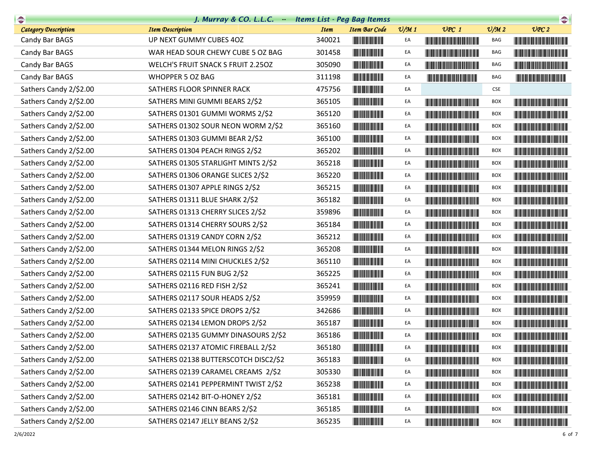| $\bullet$                   | J. Murray & CO. L.L.C. Items List - Peg Bag Itemss |                                        |                 |                                                                                                                                                                                                                                      |                 | $\begin{picture}(20,20) \put(0,0){\line(1,0){10}} \put(15,0){\line(1,0){10}} \put(15,0){\line(1,0){10}} \put(15,0){\line(1,0){10}} \put(15,0){\line(1,0){10}} \put(15,0){\line(1,0){10}} \put(15,0){\line(1,0){10}} \put(15,0){\line(1,0){10}} \put(15,0){\line(1,0){10}} \put(15,0){\line(1,0){10}} \put(15,0){\line(1,0){10}} \put(15,0){\line(1$ |
|-----------------------------|----------------------------------------------------|----------------------------------------|-----------------|--------------------------------------------------------------------------------------------------------------------------------------------------------------------------------------------------------------------------------------|-----------------|-----------------------------------------------------------------------------------------------------------------------------------------------------------------------------------------------------------------------------------------------------------------------------------------------------------------------------------------------------|
| <b>Category Description</b> | <b>Item Description</b>                            | <b>Item</b><br><b>Item Bar Code</b>    | $\frac{v}{M}$ 1 | $UPC$ 1                                                                                                                                                                                                                              | $\frac{V}{M}$ 2 | UPC2                                                                                                                                                                                                                                                                                                                                                |
| Candy Bar BAGS              | UP NEXT GUMMY CUBES 4OZ                            | 340021                                 | EA              |                                                                                                                                                                                                                                      | BAG             |                                                                                                                                                                                                                                                                                                                                                     |
| Candy Bar BAGS              | WAR HEAD SOUR CHEWY CUBE 5 OZ BAG                  | 301458                                 | EA              | <u> Linda ka masa sa kasang pangangan ng pangangang pangangang pangangang pangangang pangangang pangangang pang</u>                                                                                                                  | BAG             |                                                                                                                                                                                                                                                                                                                                                     |
| Candy Bar BAGS              | WELCH'S FRUIT SNACK S FRUIT 2.250Z                 | 305090                                 | EA              |                                                                                                                                                                                                                                      | <b>BAG</b>      |                                                                                                                                                                                                                                                                                                                                                     |
| Candy Bar BAGS              | <b>WHOPPER 5 OZ BAG</b>                            | 311198                                 | EA              |                                                                                                                                                                                                                                      | <b>BAG</b>      |                                                                                                                                                                                                                                                                                                                                                     |
| Sathers Candy 2/\$2.00      | SATHERS FLOOR SPINNER RACK                         | 475756                                 | EA              |                                                                                                                                                                                                                                      | <b>CSE</b>      |                                                                                                                                                                                                                                                                                                                                                     |
| Sathers Candy 2/\$2.00      | SATHERS MINI GUMMI BEARS 2/\$2                     | 365105                                 | EA              | <u> Liberal Maria Maria San Barat III a Shekara ta 1989 da kasas na shekara ta 1989 da kasas na shekara ta 1981 da kasas na shekara ta 1981 da kasas na shekara ta 1981 da kasas na shekara ta 1981 da kasas na shekara ta 1981 </u> | <b>BOX</b>      | <u> Harry Harry Harry Harry Harry Harry Harry Harry Harry Harry Harry Harry Harry Harry Harry Harry Harry Harry Harry Harry Harry Harry Harry Harry Harry Harry Harry Harry Harry Harry Harry Harry Harry Harry Harry Harry Harr</u>                                                                                                                |
| Sathers Candy 2/\$2.00      | SATHERS 01301 GUMMI WORMS 2/\$2                    | 365120                                 | EA              | <u> Liberal Maria Maria Maria Maria Maria Maria Maria Maria Maria Maria Maria Maria Maria Maria Maria Maria Maria </u>                                                                                                               | <b>BOX</b>      | <b>The Committee of the Committee of the Committee</b>                                                                                                                                                                                                                                                                                              |
| Sathers Candy 2/\$2.00      | SATHERS 01302 SOUR NEON WORM 2/\$2                 | 365160                                 | EA              | <b>The Community of the Community</b>                                                                                                                                                                                                | <b>BOX</b>      |                                                                                                                                                                                                                                                                                                                                                     |
| Sathers Candy 2/\$2.00      | SATHERS 01303 GUMMI BEAR 2/\$2                     | 365100<br><b>The Common Service</b>    | EA              | <u> Timba ka masa sa mga katalog ng mga katalog ng mga katalog ng mga katalog ng mga katalog ng mga katalog ng mga katalog ng mga katalog ng mga katalog ng mga katalog ng mga katalog ng mga katalog ng mga katalog ng mga kata</u> | <b>BOX</b>      | <b>The Common Section</b>                                                                                                                                                                                                                                                                                                                           |
| Sathers Candy 2/\$2.00      | SATHERS 01304 PEACH RINGS 2/\$2                    | 365202                                 | EA              | <u> The Community of the Community of the Community of the Community of the Community of the Community of the Community of the Community of the Community of the Community of the Community of the Community of the Community of</u> | <b>BOX</b>      |                                                                                                                                                                                                                                                                                                                                                     |
| Sathers Candy 2/\$2.00      | SATHERS 01305 STARLIGHT MINTS 2/\$2                | 365218                                 | EA              |                                                                                                                                                                                                                                      | <b>BOX</b>      |                                                                                                                                                                                                                                                                                                                                                     |
| Sathers Candy 2/\$2.00      | SATHERS 01306 ORANGE SLICES 2/\$2                  | 365220                                 | EA              | <u> Tanzania (h. 1888).</u>                                                                                                                                                                                                          | <b>BOX</b>      |                                                                                                                                                                                                                                                                                                                                                     |
| Sathers Candy 2/\$2.00      | SATHERS 01307 APPLE RINGS 2/\$2                    | 365215                                 | EA              |                                                                                                                                                                                                                                      | <b>BOX</b>      |                                                                                                                                                                                                                                                                                                                                                     |
| Sathers Candy 2/\$2.00      | SATHERS 01311 BLUE SHARK 2/\$2                     | 365182                                 | EA              | <u> Liberal Maria Maria San Barat III a Shekara ta 1989 da kasas na san A</u>                                                                                                                                                        | <b>BOX</b>      |                                                                                                                                                                                                                                                                                                                                                     |
| Sathers Candy 2/\$2.00      | SATHERS 01313 CHERRY SLICES 2/\$2                  | 359896                                 | EA              | <b>The Committee of the Committee of the Committee</b>                                                                                                                                                                               | <b>BOX</b>      |                                                                                                                                                                                                                                                                                                                                                     |
| Sathers Candy 2/\$2.00      | SATHERS 01314 CHERRY SOURS 2/\$2                   | 365184                                 | EA              |                                                                                                                                                                                                                                      | <b>BOX</b>      | <u> Harris Harris Harris Harris Harris Harris Harris Harris Harris Harris Harris Harris Harris Harris Harris Harris Harris Harris Harris Harris Harris Harris Harris Harris Harris Harris Harris Harris Harris Harris Harris Har</u>                                                                                                                |
| Sathers Candy 2/\$2.00      | SATHERS 01319 CANDY CORN 2/\$2                     | 365212                                 | EA              | <u> Liberal Maria Maria Maria Maria Maria Maria Maria Maria Maria Maria Maria Maria Maria Maria Maria Maria Maria </u>                                                                                                               | <b>BOX</b>      |                                                                                                                                                                                                                                                                                                                                                     |
| Sathers Candy 2/\$2.00      | SATHERS 01344 MELON RINGS 2/\$2                    | 365208                                 | EA              |                                                                                                                                                                                                                                      | <b>BOX</b>      |                                                                                                                                                                                                                                                                                                                                                     |
| Sathers Candy 2/\$2.00      | SATHERS 02114 MINI CHUCKLES 2/\$2                  | 365110                                 | EA              |                                                                                                                                                                                                                                      | <b>BOX</b>      |                                                                                                                                                                                                                                                                                                                                                     |
| Sathers Candy 2/\$2.00      | SATHERS 02115 FUN BUG 2/\$2                        | 365225                                 | EA              | <u> III de la provincia del m</u>                                                                                                                                                                                                    | <b>BOX</b>      |                                                                                                                                                                                                                                                                                                                                                     |
| Sathers Candy 2/\$2.00      | SATHERS 02116 RED FISH 2/\$2                       | 365241                                 | EA              |                                                                                                                                                                                                                                      | <b>BOX</b>      |                                                                                                                                                                                                                                                                                                                                                     |
| Sathers Candy 2/\$2.00      | SATHERS 02117 SOUR HEADS 2/\$2                     | 359959                                 | EA              |                                                                                                                                                                                                                                      | <b>BOX</b>      |                                                                                                                                                                                                                                                                                                                                                     |
| Sathers Candy 2/\$2.00      | SATHERS 02133 SPICE DROPS 2/\$2                    | 342686                                 | EA              | <b>The Committee of the Committee of the Committee</b>                                                                                                                                                                               | <b>BOX</b>      |                                                                                                                                                                                                                                                                                                                                                     |
| Sathers Candy 2/\$2.00      | SATHERS 02134 LEMON DROPS 2/\$2                    | 365187                                 | EA              |                                                                                                                                                                                                                                      | <b>BOX</b>      |                                                                                                                                                                                                                                                                                                                                                     |
| Sathers Candy 2/\$2.00      | SATHERS 02135 GUMMY DINASOURS 2/\$2                | 365186<br><u> Liberal Maria San Ba</u> | EA              |                                                                                                                                                                                                                                      | <b>BOX</b>      |                                                                                                                                                                                                                                                                                                                                                     |
| Sathers Candy 2/\$2.00      | SATHERS 02137 ATOMIC FIREBALL 2/\$2                | 365180                                 |                 |                                                                                                                                                                                                                                      | <b>BOX</b>      |                                                                                                                                                                                                                                                                                                                                                     |
| Sathers Candy 2/\$2.00      | SATHERS 02138 BUTTERSCOTCH DISC2/\$2               | 365183                                 | EA              |                                                                                                                                                                                                                                      | <b>BOX</b>      |                                                                                                                                                                                                                                                                                                                                                     |
| Sathers Candy 2/\$2.00      | SATHERS 02139 CARAMEL CREAMS 2/\$2                 | 305330                                 | EA              |                                                                                                                                                                                                                                      | <b>BOX</b>      |                                                                                                                                                                                                                                                                                                                                                     |
| Sathers Candy 2/\$2.00      | SATHERS 02141 PEPPERMINT TWIST 2/\$2               | 365238                                 | EA              |                                                                                                                                                                                                                                      | <b>BOX</b>      |                                                                                                                                                                                                                                                                                                                                                     |
| Sathers Candy 2/\$2.00      | SATHERS 02142 BIT-O-HONEY 2/\$2                    | 365181                                 | EA              | <u> Harry Harry Harry Harry Harry Harry Harry Harry Harry Harry Harry Harry Harry Harry Harry Harry Harry Harry H</u>                                                                                                                | <b>BOX</b>      |                                                                                                                                                                                                                                                                                                                                                     |
| Sathers Candy 2/\$2.00      | SATHERS 02146 CINN BEARS 2/\$2                     | 365185                                 | EA              |                                                                                                                                                                                                                                      | <b>BOX</b>      |                                                                                                                                                                                                                                                                                                                                                     |
| Sathers Candy 2/\$2.00      | SATHERS 02147 JELLY BEANS 2/\$2                    | 365235                                 | EA              |                                                                                                                                                                                                                                      | BOX             |                                                                                                                                                                                                                                                                                                                                                     |